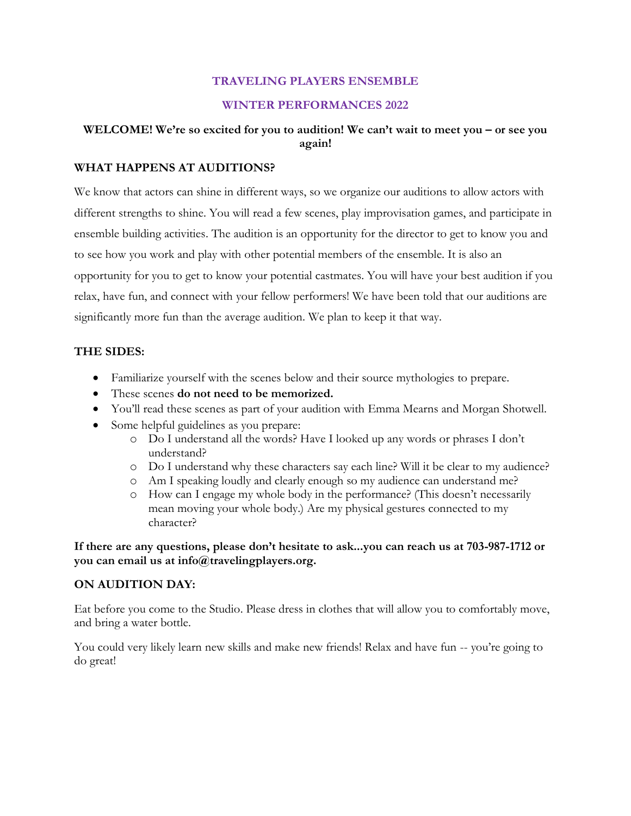# **TRAVELING PLAYERS ENSEMBLE**

## **WINTER PERFORMANCES 2022**

# **WELCOME! We're so excited for you to audition! We can't wait to meet you – or see you again!**

## **WHAT HAPPENS AT AUDITIONS?**

We know that actors can shine in different ways, so we organize our auditions to allow actors with different strengths to shine. You will read a few scenes, play improvisation games, and participate in ensemble building activities. The audition is an opportunity for the director to get to know you and to see how you work and play with other potential members of the ensemble. It is also an opportunity for you to get to know your potential castmates. You will have your best audition if you relax, have fun, and connect with your fellow performers! We have been told that our auditions are significantly more fun than the average audition. We plan to keep it that way.

# **THE SIDES:**

- Familiarize yourself with the scenes below and their source mythologies to prepare.
- These scenes **do not need to be memorized.**
- You'll read these scenes as part of your audition with Emma Mearns and Morgan Shotwell.
- Some helpful guidelines as you prepare:
	- o Do I understand all the words? Have I looked up any words or phrases I don't understand?
	- o Do I understand why these characters say each line? Will it be clear to my audience?
	- o Am I speaking loudly and clearly enough so my audience can understand me?
	- o How can I engage my whole body in the performance? (This doesn't necessarily mean moving your whole body.) Are my physical gestures connected to my character?

**If there are any questions, please don't hesitate to ask...you can reach us at 703-987-1712 or you can email us at info@travelingplayers.org.** 

# **ON AUDITION DAY:**

Eat before you come to the Studio. Please dress in clothes that will allow you to comfortably move, and bring a water bottle.

You could very likely learn new skills and make new friends! Relax and have fun -- you're going to do great!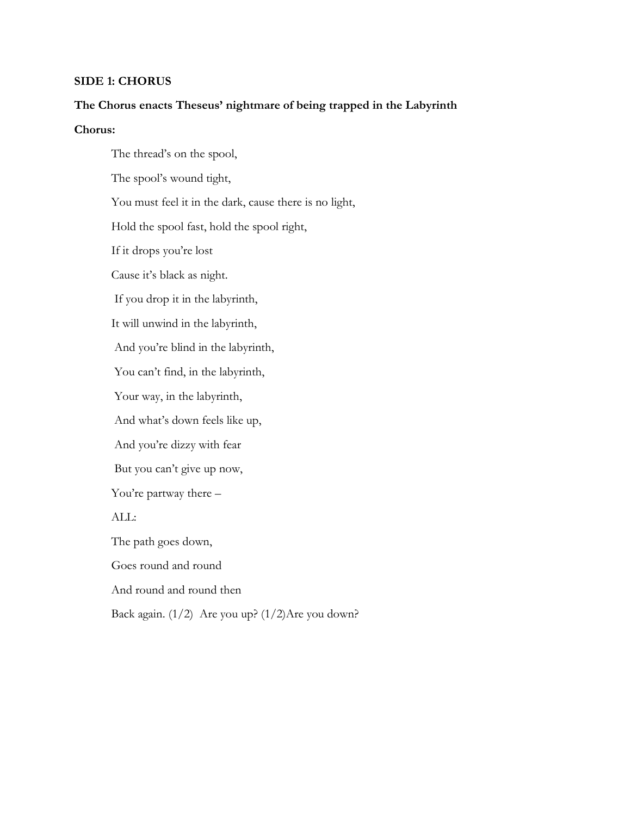# **SIDE 1: CHORUS**

#### **The Chorus enacts Theseus' nightmare of being trapped in the Labyrinth**

# **Chorus:**

The thread's on the spool, The spool's wound tight, You must feel it in the dark, cause there is no light, Hold the spool fast, hold the spool right, If it drops you're lost Cause it's black as night. If you drop it in the labyrinth, It will unwind in the labyrinth, And you're blind in the labyrinth, You can't find, in the labyrinth, Your way, in the labyrinth, And what's down feels like up, And you're dizzy with fear But you can't give up now, You're partway there – ALL: The path goes down, Goes round and round And round and round then Back again. (1/2) Are you up? (1/2)Are you down?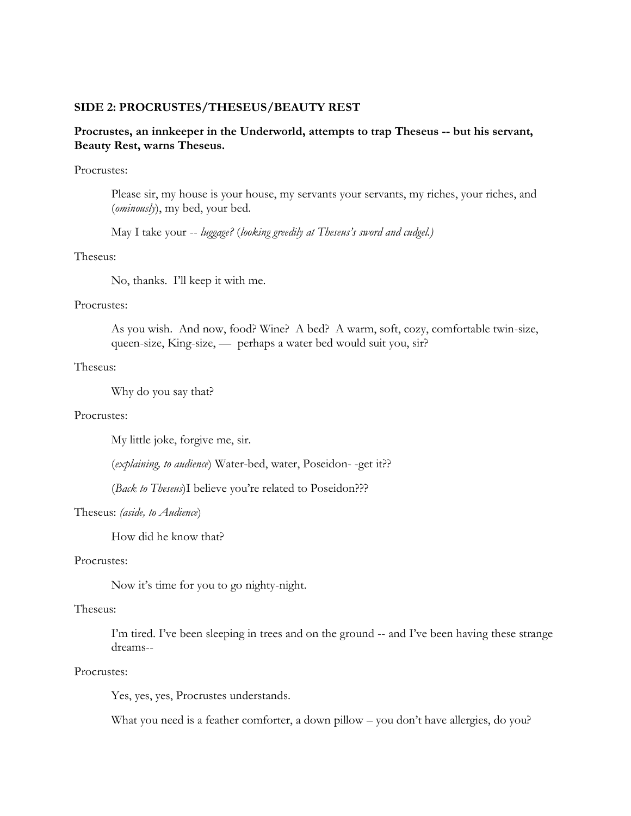#### **SIDE 2: PROCRUSTES/THESEUS/BEAUTY REST**

# **Procrustes, an innkeeper in the Underworld, attempts to trap Theseus -- but his servant, Beauty Rest, warns Theseus.**

#### Procrustes:

Please sir, my house is your house, my servants your servants, my riches, your riches, and (*ominously*), my bed, your bed.

May I take your -- *luggage?* (*looking greedily at Theseus's sword and cudgel.)*

#### Theseus:

No, thanks. I'll keep it with me.

#### Procrustes:

As you wish. And now, food? Wine? A bed? A warm, soft, cozy, comfortable twin-size, queen-size, King-size, — perhaps a water bed would suit you, sir?

#### Theseus:

Why do you say that?

#### Procrustes:

My little joke, forgive me, sir.

(*explaining, to audience*) Water-bed, water, Poseidon- -get it??

(*Back to Theseus*)I believe you're related to Poseidon???

#### Theseus: *(aside, to Audience*)

How did he know that?

## Procrustes:

Now it's time for you to go nighty-night.

#### Theseus:

I'm tired. I've been sleeping in trees and on the ground -- and I've been having these strange dreams--

#### Procrustes:

Yes, yes, yes, Procrustes understands.

What you need is a feather comforter, a down pillow – you don't have allergies, do you?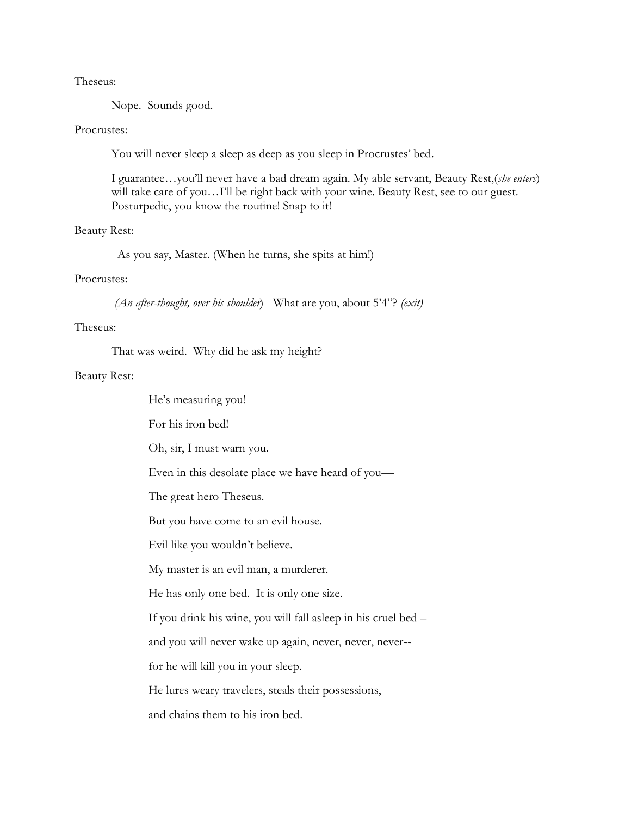#### Theseus:

Nope. Sounds good.

#### Procrustes:

You will never sleep a sleep as deep as you sleep in Procrustes' bed.

I guarantee…you'll never have a bad dream again. My able servant, Beauty Rest,(*she enters*) will take care of you...I'll be right back with your wine. Beauty Rest, see to our guest. Posturpedic, you know the routine! Snap to it!

#### Beauty Rest:

As you say, Master. (When he turns, she spits at him!)

## Procrustes:

*(An after-thought, over his shoulder*) What are you, about 5'4"? *(exit)*

#### Theseus:

That was weird. Why did he ask my height?

#### Beauty Rest:

He's measuring you! For his iron bed! Oh, sir, I must warn you. Even in this desolate place we have heard of you— The great hero Theseus. But you have come to an evil house. Evil like you wouldn't believe. My master is an evil man, a murderer. He has only one bed. It is only one size. If you drink his wine, you will fall asleep in his cruel bed – and you will never wake up again, never, never, never- for he will kill you in your sleep. He lures weary travelers, steals their possessions, and chains them to his iron bed.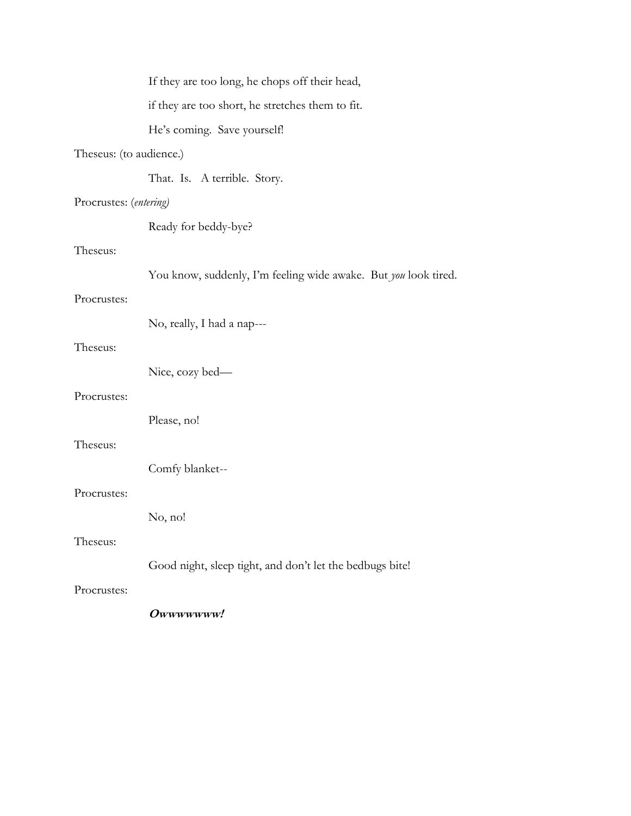|                         | If they are too long, he chops off their head,                  |
|-------------------------|-----------------------------------------------------------------|
|                         | if they are too short, he stretches them to fit.                |
|                         | He's coming. Save yourself!                                     |
| Theseus: (to audience.) |                                                                 |
|                         | That. Is. A terrible. Story.                                    |
| Procrustes: (entering)  |                                                                 |
|                         | Ready for beddy-bye?                                            |
| Theseus:                |                                                                 |
|                         | You know, suddenly, I'm feeling wide awake. But you look tired. |
| Procrustes:             |                                                                 |
|                         | No, really, I had a nap---                                      |
| Theseus:                |                                                                 |
|                         | Nice, cozy bed—                                                 |
| Procrustes:             |                                                                 |
|                         | Please, no!                                                     |
| Theseus:                |                                                                 |
|                         | Comfy blanket--                                                 |
| Procrustes:             |                                                                 |
|                         | No, no!                                                         |
| Theseus:                |                                                                 |
|                         | Good night, sleep tight, and don't let the bedbugs bite!        |
| Procrustes:             |                                                                 |
|                         | Owwwwwww!                                                       |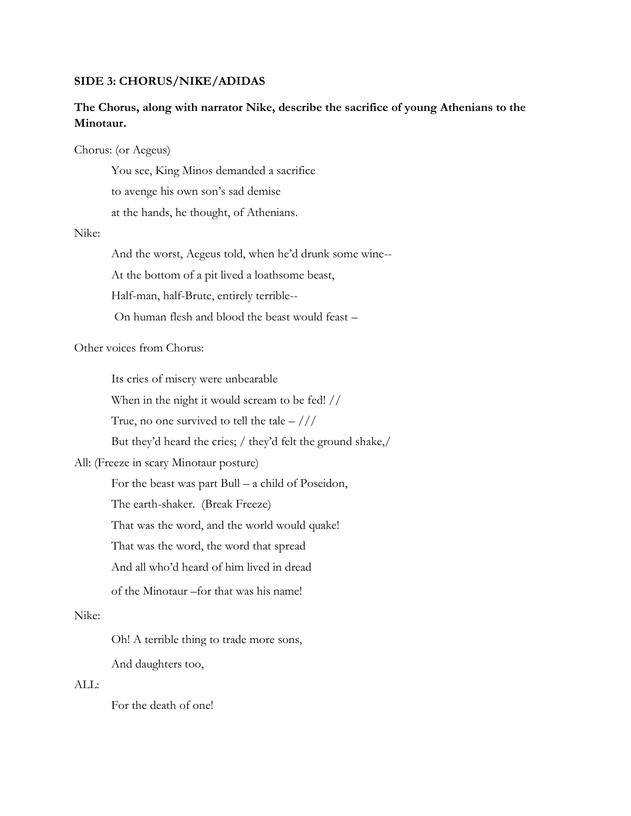#### **SIDE 3: CHORUS/NIKE/ADIDAS**

# **The Chorus, along with narrator Nike, describe the sacrifice of young Athenians to the Minotaur.**

#### Chorus: (or Aegeus)

You see, King Minos demanded a sacrifice

to avenge his own son's sad demise

at the hands, he thought, of Athenians.

# Nike:

And the worst, Aegeus told, when he'd drunk some wine--

At the bottom of a pit lived a loathsome beast,

Half-man, half-Brute, entirely terrible--

On human flesh and blood the beast would feast –

# Other voices from Chorus:

Its cries of misery were unbearable

When in the night it would scream to be fed! //

True, no one survived to tell the tale  $-$  ///

But they'd heard the cries; / they'd felt the ground shake,/

# All: (Freeze in scary Minotaur posture)

For the beast was part Bull – a child of Poseidon,

The earth-shaker. (Break Freeze)

That was the word, and the world would quake!

That was the word, the word that spread

And all who'd heard of him lived in dread

of the Minotaur –for that was his name!

#### Nike:

Oh! A terrible thing to trade more sons,

And daughters too,

# ALL:

For the death of one!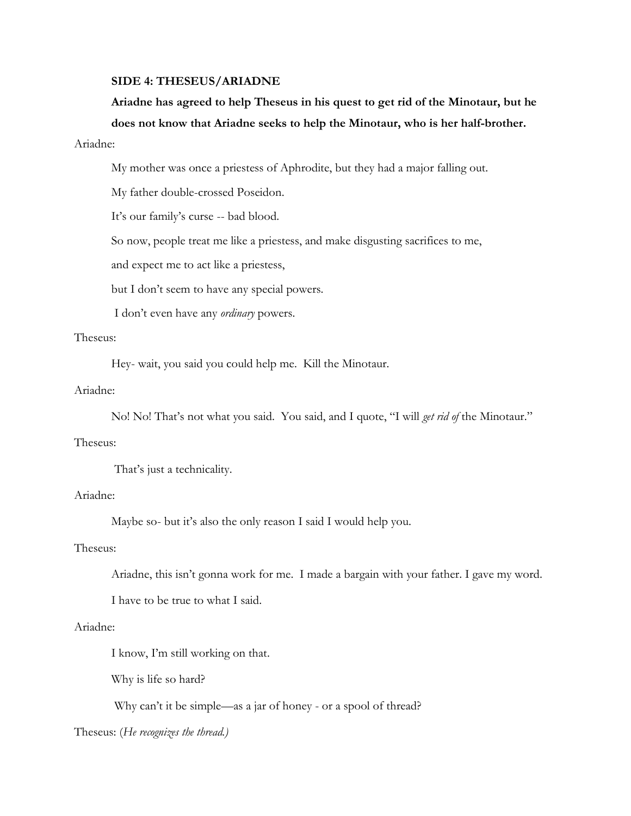# **SIDE 4: THESEUS/ARIADNE**

# **Ariadne has agreed to help Theseus in his quest to get rid of the Minotaur, but he does not know that Ariadne seeks to help the Minotaur, who is her half-brother.**

# Ariadne:

My mother was once a priestess of Aphrodite, but they had a major falling out.

My father double-crossed Poseidon.

It's our family's curse -- bad blood.

So now, people treat me like a priestess, and make disgusting sacrifices to me,

and expect me to act like a priestess,

but I don't seem to have any special powers.

I don't even have any *ordinary* powers.

#### Theseus:

Hey- wait, you said you could help me. Kill the Minotaur.

## Ariadne:

No! No! That's not what you said. You said, and I quote, "I will *get rid of* the Minotaur."

# Theseus:

That's just a technicality.

# Ariadne:

Maybe so- but it's also the only reason I said I would help you.

## Theseus:

Ariadne, this isn't gonna work for me. I made a bargain with your father. I gave my word.

I have to be true to what I said.

## Ariadne:

I know, I'm still working on that.

Why is life so hard?

Why can't it be simple—as a jar of honey - or a spool of thread?

Theseus: (*He recognizes the thread.)*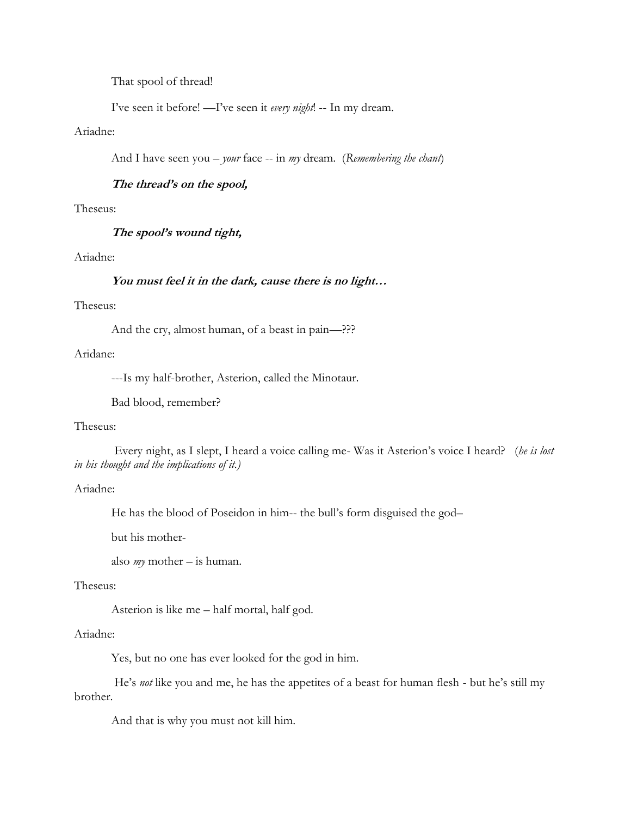That spool of thread!

I've seen it before! —I've seen it *every night*! -- In my dream.

# Ariadne:

And I have seen you – *your* face -- in *my* dream. (*Remembering the chant*)

# **The thread's on the spool,**

#### Theseus:

**The spool's wound tight,**

# Ariadne:

#### **You must feel it in the dark, cause there is no light…**

## Theseus:

And the cry, almost human, of a beast in pain—???

#### Aridane:

---Is my half-brother, Asterion, called the Minotaur.

Bad blood, remember?

#### Theseus:

Every night, as I slept, I heard a voice calling me- Was it Asterion's voice I heard? (*he is lost in his thought and the implications of it.)*

# Ariadne:

He has the blood of Poseidon in him-- the bull's form disguised the god–

but his mother-

also *my* mother – is human.

#### Theseus:

Asterion is like me – half mortal, half god.

# Ariadne:

Yes, but no one has ever looked for the god in him.

He's *not* like you and me, he has the appetites of a beast for human flesh - but he's still my brother.

And that is why you must not kill him.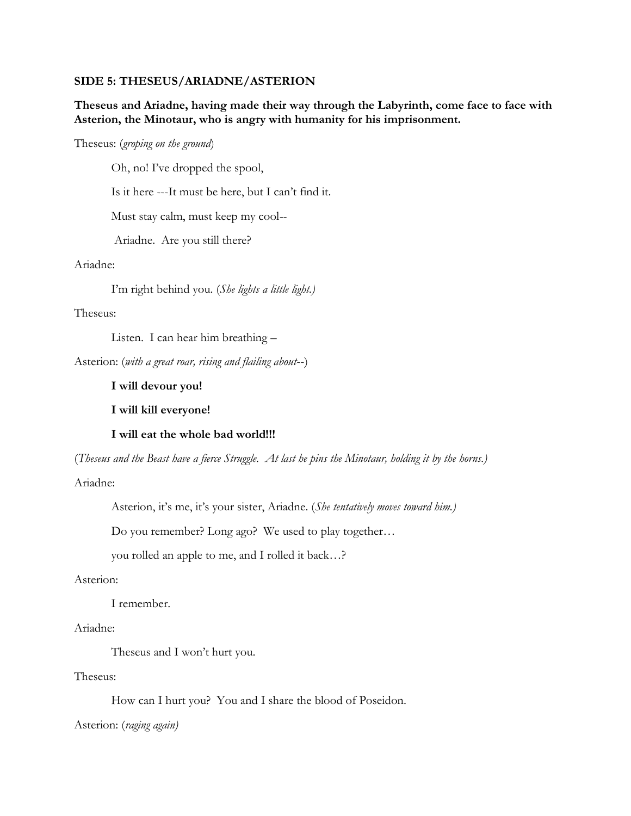#### **SIDE 5: THESEUS/ARIADNE/ASTERION**

# **Theseus and Ariadne, having made their way through the Labyrinth, come face to face with Asterion, the Minotaur, who is angry with humanity for his imprisonment.**

#### Theseus: (*groping on the ground*)

Oh, no! I've dropped the spool,

Is it here ---It must be here, but I can't find it.

Must stay calm, must keep my cool--

Ariadne. Are you still there?

#### Ariadne:

I'm right behind you. (*She lights a little light.)*

#### Theseus:

Listen. I can hear him breathing –

Asterion: (*with a great roar, rising and flailing about*--)

## **I will devour you!**

**I will kill everyone!**

#### **I will eat the whole bad world!!!**

(*Theseus and the Beast have a fierce Struggle. At last he pins the Minotaur, holding it by the horns.)*

### Ariadne:

Asterion, it's me, it's your sister, Ariadne. (*She tentatively moves toward him.)*

Do you remember? Long ago? We used to play together…

you rolled an apple to me, and I rolled it back…?

#### Asterion:

I remember.

## Ariadne:

Theseus and I won't hurt you.

## Theseus:

How can I hurt you? You and I share the blood of Poseidon.

Asterion: (*raging again)*